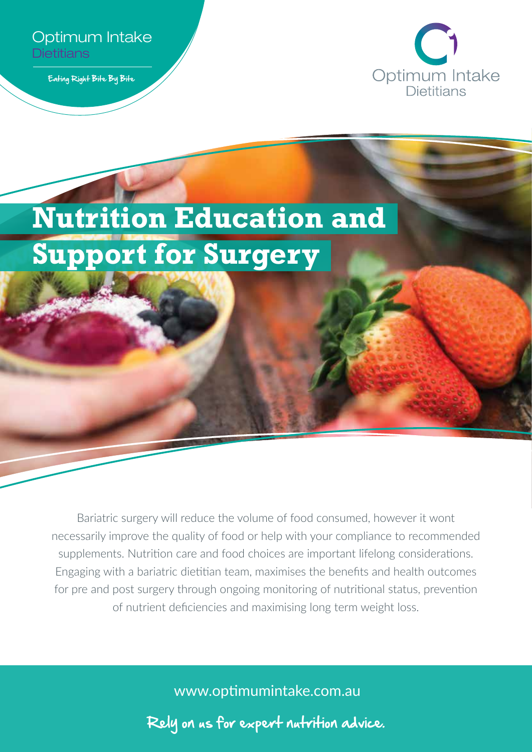

Eating Right Bite By Bite



# **Nutrition Education and Support for Surgery**

Bariatric surgery will reduce the volume of food consumed, however it wont necessarily improve the quality of food or help with your compliance to recommended supplements. Nutrition care and food choices are important lifelong considerations. Engaging with a bariatric dietitian team, maximises the benefits and health outcomes for pre and post surgery through ongoing monitoring of nutritional status, prevention of nutrient deficiencies and maximising long term weight loss.

www.optimumintake.com.au

Rely on us for expert nutrition advice.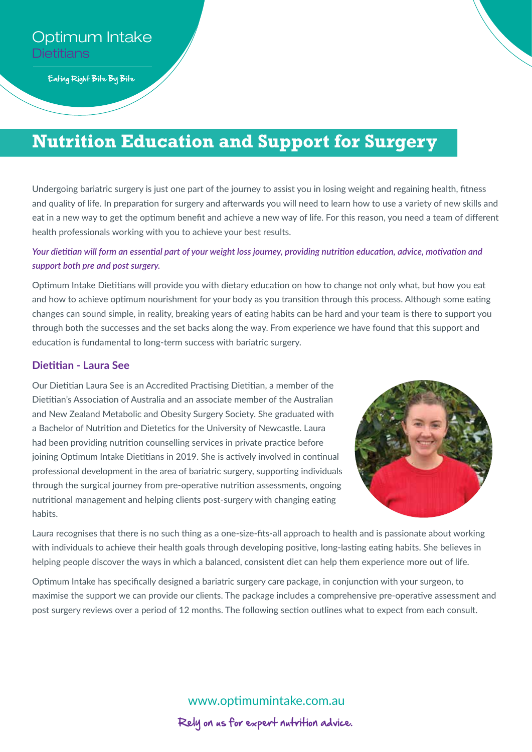Eating Right Bite By Bite

# **Nutrition Education and Support for Surgery**

Undergoing bariatric surgery is just one part of the journey to assist you in losing weight and regaining health, fitness and quality of life. In preparation for surgery and afterwards you will need to learn how to use a variety of new skills and eat in a new way to get the optimum benefit and achieve a new way of life. For this reason, you need a team of different health professionals working with you to achieve your best results.

# *Your dietitian will form an essential part of your weight loss journey, providing nutrition education, advice, motivation and support both pre and post surgery.*

Optimum Intake Dietitians will provide you with dietary education on how to change not only what, but how you eat and how to achieve optimum nourishment for your body as you transition through this process. Although some eating changes can sound simple, in reality, breaking years of eating habits can be hard and your team is there to support you through both the successes and the set backs along the way. From experience we have found that this support and education is fundamental to long-term success with bariatric surgery.

## **Dietitian - Laura See**

Our Dietitian Laura See is an Accredited Practising Dietitian, a member of the Dietitian's Association of Australia and an associate member of the Australian and New Zealand Metabolic and Obesity Surgery Society. She graduated with a Bachelor of Nutrition and Dietetics for the University of Newcastle. Laura had been providing nutrition counselling services in private practice before joining Optimum Intake Dietitians in 2019. She is actively involved in continual professional development in the area of bariatric surgery, supporting individuals through the surgical journey from pre-operative nutrition assessments, ongoing nutritional management and helping clients post-surgery with changing eating habits.



Laura recognises that there is no such thing as a one-size-fits-all approach to health and is passionate about working with individuals to achieve their health goals through developing positive, long-lasting eating habits. She believes in helping people discover the ways in which a balanced, consistent diet can help them experience more out of life.

Optimum Intake has specifically designed a bariatric surgery care package, in conjunction with your surgeon, to maximise the support we can provide our clients. The package includes a comprehensive pre-operative assessment and post surgery reviews over a period of 12 months. The following section outlines what to expect from each consult.

> www.optimumintake.com.au Rely on us for expert nutrition advice.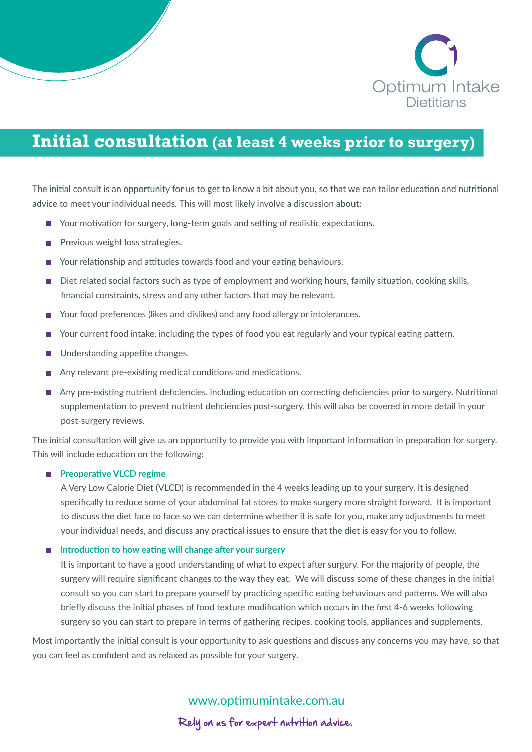

# **Initial consultation (at least 4 weeks prior to surgery)**

The initial consult is an opportunity for us to get to know a bit about you, so that we can tailor education and nutritional advice to meet your individual needs. This will most likely involve a discussion about:

- Your motivation for surgery, long-term goals and setting of realistic expectations.
- Previous weight loss strategies.
- Your relationship and attitudes towards food and your eating behaviours.
- Diet related social factors such as type of employment and working hours, family situation, cooking skills, financial constraints, stress and any other factors that may be relevant.
- Your food preferences (likes and dislikes) and any food allergy or intolerances.
- Your current food intake, including the types of food you eat regularly and your typical eating pattern.
- Understanding appetite changes.
- Any relevant pre-existing medical conditions and medications.
- Any pre-existing nutrient deficiencies, including education on correcting deficiencies prior to surgery. Nutritional supplementation to prevent nutrient deficiencies post-surgery, this will also be covered in more detail in your post-surgery reviews.

The initial consultation will give us an opportunity to provide you with important information in preparation for surgery. This will include education on the following:

#### **Preoperative VLCD regime**

A Very Low Calorie Diet (VLCD) is recommended in the 4 weeks leading up to your surgery. It is designed specifically to reduce some of your abdominal fat stores to make surgery more straight forward. It is important to discuss the diet face to face so we can determine whether it is safe for you, make any adjustments to meet your individual needs, and discuss any practical issues to ensure that the diet is easy for you to follow.

#### **Introduction to how eating will change after your surgery**

It is important to have a good understanding of what to expect after surgery. For the majority of people, the surgery will require significant changes to the way they eat. We will discuss some of these changes in the initial consult so you can start to prepare yourself by practicing specific eating behaviours and patterns. We will also briefly discuss the initial phases of food texture modification which occurs in the first 4-6 weeks following surgery so you can start to prepare in terms of gathering recipes, cooking tools, appliances and supplements.

Most importantly the initial consult is your opportunity to ask questions and discuss any concerns you may have, so that you can feel as confident and as relaxed as possible for your surgery.

www.optimumintake.com.au

Rely on us for expert nutrition advice.